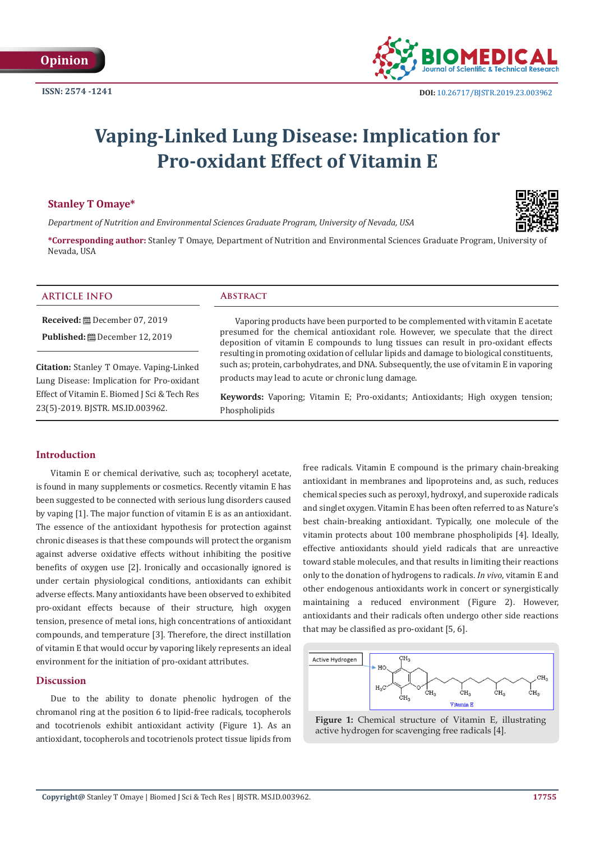

# **Vaping-Linked Lung Disease: Implication for Pro-oxidant Effect of Vitamin E**

# **Stanley T Omaye\***

*Department of Nutrition and Environmental Sciences Graduate Program, University of Nevada, USA*

Phospholipids



**\*Corresponding author:** Stanley T Omaye, Department of Nutrition and Environmental Sciences Graduate Program, University of Nevada, USA

| <b>ARTICLE INFO</b>                          | <b>ABSTRACT</b>                                                                                                                                                                        |
|----------------------------------------------|----------------------------------------------------------------------------------------------------------------------------------------------------------------------------------------|
|                                              | Vaporing products have been purported to be complemented with vitamin E acetate                                                                                                        |
|                                              | presumed for the chemical antioxidant role. However, we speculate that the direct<br>deposition of vitamin E compounds to lung tissues can result in pro-oxidant effects               |
| Citation: Stanley T Omaye. Vaping-Linked     | resulting in promoting oxidation of cellular lipids and damage to biological constituents,<br>such as; protein, carbohydrates, and DNA. Subsequently, the use of vitamin E in vaporing |
| Lung Disease: Implication for Pro-oxidant    | products may lead to acute or chronic lung damage.                                                                                                                                     |
| Effect of Vitamin E. Biomed J Sci & Tech Res | Keywords: Vaporing; Vitamin E; Pro-oxidants; Antioxidants; High oxygen tension;                                                                                                        |

# **Introduction**

23(5)-2019. BJSTR. MS.ID.003962.

Vitamin E or chemical derivative, such as; tocopheryl acetate, is found in many supplements or cosmetics. Recently vitamin E has been suggested to be connected with serious lung disorders caused by vaping [1]. The major function of vitamin E is as an antioxidant. The essence of the antioxidant hypothesis for protection against chronic diseases is that these compounds will protect the organism against adverse oxidative effects without inhibiting the positive benefits of oxygen use [2]. Ironically and occasionally ignored is under certain physiological conditions, antioxidants can exhibit adverse effects. Many antioxidants have been observed to exhibited pro-oxidant effects because of their structure, high oxygen tension, presence of metal ions, high concentrations of antioxidant compounds, and temperature [3]. Therefore, the direct instillation of vitamin E that would occur by vaporing likely represents an ideal environment for the initiation of pro-oxidant attributes.

## **Discussion**

Due to the ability to donate phenolic hydrogen of the chromanol ring at the position 6 to lipid-free radicals, tocopherols and tocotrienols exhibit antioxidant activity (Figure 1). As an antioxidant, tocopherols and tocotrienols protect tissue lipids from free radicals. Vitamin E compound is the primary chain-breaking antioxidant in membranes and lipoproteins and, as such, reduces chemical species such as peroxyl, hydroxyl, and superoxide radicals and singlet oxygen. Vitamin E has been often referred to as Nature's best chain-breaking antioxidant. Typically, one molecule of the vitamin protects about 100 membrane phospholipids [4]. Ideally, effective antioxidants should yield radicals that are unreactive toward stable molecules, and that results in limiting their reactions only to the donation of hydrogens to radicals. *In vivo*, vitamin E and other endogenous antioxidants work in concert or synergistically maintaining a reduced environment (Figure 2). However, antioxidants and their radicals often undergo other side reactions that may be classified as pro-oxidant [5, 6].